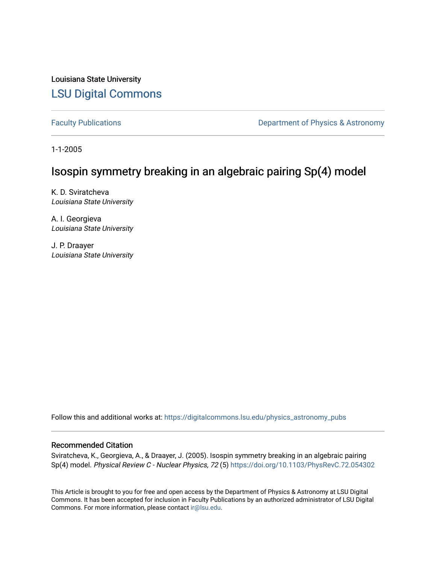Louisiana State University [LSU Digital Commons](https://digitalcommons.lsu.edu/)

[Faculty Publications](https://digitalcommons.lsu.edu/physics_astronomy_pubs) **Exercise 2** Constant Department of Physics & Astronomy

1-1-2005

# Isospin symmetry breaking in an algebraic pairing Sp(4) model

K. D. Sviratcheva Louisiana State University

A. I. Georgieva Louisiana State University

J. P. Draayer Louisiana State University

Follow this and additional works at: [https://digitalcommons.lsu.edu/physics\\_astronomy\\_pubs](https://digitalcommons.lsu.edu/physics_astronomy_pubs?utm_source=digitalcommons.lsu.edu%2Fphysics_astronomy_pubs%2F1830&utm_medium=PDF&utm_campaign=PDFCoverPages) 

## Recommended Citation

Sviratcheva, K., Georgieva, A., & Draayer, J. (2005). Isospin symmetry breaking in an algebraic pairing Sp(4) model. Physical Review C - Nuclear Physics, 72 (5) <https://doi.org/10.1103/PhysRevC.72.054302>

This Article is brought to you for free and open access by the Department of Physics & Astronomy at LSU Digital Commons. It has been accepted for inclusion in Faculty Publications by an authorized administrator of LSU Digital Commons. For more information, please contact [ir@lsu.edu](mailto:ir@lsu.edu).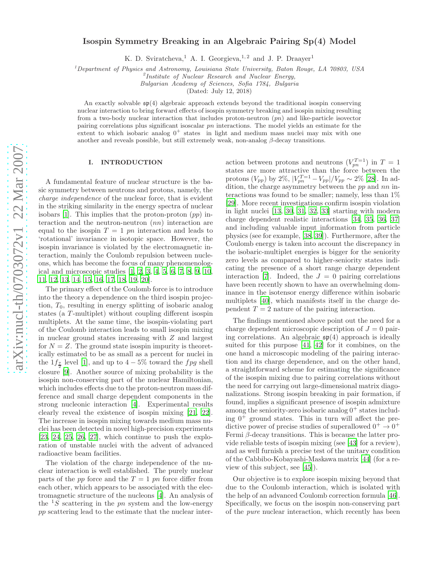## Isospin Symmetry Breaking in an Algebraic Pairing Sp(4) Model

K. D. Sviratcheva,<sup>1</sup> A. I. Georgieva,<sup>1,2</sup> and J. P. Draayer<sup>1</sup>

<sup>1</sup>*Department of Physics and Astronomy, Louisiana State University, Baton Rouge, LA 70803, USA* <sup>2</sup>

*Institute of Nuclear Research and Nuclear Energy,*

*Bulgarian Academy of Sciences, Sofia 1784, Bulgaria*

(Dated: July 12, 2018)

An exactly solvable  $\mathfrak{sp}(4)$  algebraic approach extends beyond the traditional isospin conserving nuclear interaction to bring forward effects of isospin symmetry breaking and isospin mixing resulting from a two-body nuclear interaction that includes proton-neutron  $(pn)$  and like-particle isovector pairing correlations plus significant isoscalar pn interactions. The model yields an estimate for the extent to which isobaric analog  $0^+$  states in light and medium mass nuclei may mix with one another and reveals possible, but still extremely weak, non-analog  $\beta$ -decay transitions.

## I. INTRODUCTION

A fundamental feature of nuclear structure is the basic symmetry between neutrons and protons, namely, the charge independence of the nuclear force, that is evident in the striking similarity in the energy spectra of nuclear isobars  $[1]$ . This implies that the proton-proton  $(pp)$  interaction and the neutron-neutron (nn) interaction are equal to the isospin  $T = 1$  pn interaction and leads to 'rotational' invariance in isotopic space. However, the isospin invariance is violated by the electromagnetic interaction, mainly the Coulomb repulsion between nucleons, which has become the focus of many phenomenological and microscopic studies [\[1,](#page-7-0) [2](#page-7-1), [3,](#page-7-2) [4](#page-7-3), [5,](#page-7-4) [6](#page-7-5), [7,](#page-7-6) [8](#page-7-7), [9,](#page-7-8) [10](#page-7-9), [11,](#page-7-10) [12](#page-7-11), [13](#page-7-12), [14](#page-7-13), [15](#page-7-14), [16](#page-7-15), [17](#page-7-16), [18](#page-7-17), [19](#page-7-18), [20\]](#page-7-19).

The primary effect of the Coulomb force is to introduce into the theory a dependence on the third isospin projection,  $T_0$ , resulting in energy splitting of isobaric analog states (a T -multiplet) without coupling different isospin multiplets. At the same time, the isospin-violating part of the Coulomb interaction leads to small isospin mixing in nuclear ground states increasing with Z and largest for  $N = Z$ . The ground state isospin impurity is theoretically estimated to be as small as a percent for nuclei in the  $1f_{\frac{7}{2}}$  level [\[1](#page-7-0)], and up to  $4-5\%$  toward the  $fpg$  shell closure [\[9\]](#page-7-8). Another source of mixing probability is the isospin non-conserving part of the nuclear Hamiltonian, which includes effects due to the proton-neutron mass difference and small charge dependent components in the strong nucleonic interaction [\[4\]](#page-7-3). Experimental results clearly reveal the existence of isospin mixing [\[21,](#page-7-20) [22\]](#page-7-21). The increase in isospin mixing towards medium mass nuclei has been detected in novel high-precision experiments [\[23,](#page-7-22) [24,](#page-7-23) [25,](#page-7-24) [26,](#page-7-25) [27](#page-7-26)], which continue to push the exploration of unstable nuclei with the advent of advanced radioactive beam facilities.

The violation of the charge independence of the nuclear interaction is well established. The purely nuclear parts of the  $pp$  force and the  $T=1$   $pn$  force differ from each other, which appears to be associated with the electromagnetic structure of the nucleons [\[4\]](#page-7-3). An analysis of the  ${}^{1}S$  scattering in the pn system and the low-energy pp scattering lead to the estimate that the nuclear inter-

action between protons and neutrons  $(V_{pn}^{T=1})$  in  $T=1$ states are more attractive than the force between the protons  $(V_{pp})$  by 2%,  $|V_{pn}^{T=1} - V_{pp}|/V_{pp} \sim 2\%$  [\[28\]](#page-7-27). In addition, the charge asymmetry between the pp and nn interactions was found to be smaller; namely, less than 1% [\[29\]](#page-7-28). More recent investigations confirm isospin violation in light nuclei [\[13,](#page-7-12) [30](#page-7-29), [31](#page-7-30), [32,](#page-7-31) [33\]](#page-7-32) starting with modern charge dependent realistic interactions [\[34,](#page-7-33) [35,](#page-7-34) [36,](#page-7-35) [37](#page-7-36)] and including valuable input information from particle physics (see for example, [\[38](#page-7-37), [39\]](#page-7-38)). Furthermore, after the Coulomb energy is taken into account the discrepancy in the isobaric-multiplet energies is bigger for the seniority zero levels as compared to higher-seniority states indicating the presence of a short range charge dependent interaction [\[7\]](#page-7-6). Indeed, the  $J = 0$  pairing correlations have been recently shown to have an overwhelming dominance in the isotensor energy difference within isobaric multiplets [\[40\]](#page-7-39), which manifests itself in the charge dependent  $T = 2$  nature of the pairing interaction.

The findings mentioned above point out the need for a charge dependent microscopic description of  $J = 0$  pairing correlations. An algebraic  $\mathfrak{sp}(4)$  approach is ideally suited for this purpose [\[41](#page-7-40), [42\]](#page-7-41) for it combines, on the one hand a microscopic modeling of the pairing interaction and its charge dependence, and on the other hand, a straightforward scheme for estimating the significance of the isospin mixing due to pairing correlations without the need for carrying out large-dimensional matrix diagonalizations. Strong isospin breaking in pair formation, if found, implies a significant presence of isospin admixture among the seniority-zero isobaric analog  $0^+$  states including  $0^+$  ground states. This in turn will affect the predictive power of precise studies of superallowed  $0^+ \rightarrow 0^+$ Fermi  $\beta$ -decay transitions. This is because the latter provide reliable tests of isospin mixing (see [\[43\]](#page-7-42) for a review), and as well furnish a precise test of the unitary condition of the Cabbibo-Kobayashi-Maskawa matrix [\[44](#page-7-43)] (for a review of this subject, see [\[45](#page-7-44)]).

Our objective is to explore isospin mixing beyond that due to the Coulomb interaction, which is isolated with the help of an advanced Coulomb correction formula [\[46\]](#page-7-45). Specifically, we focus on the isospin non-conserving part of the pure nuclear interaction, which recently has been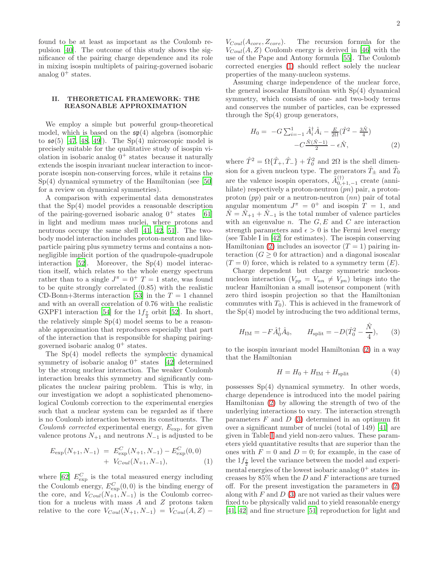found to be at least as important as the Coulomb repulsion [\[40\]](#page-7-39). The outcome of this study shows the significance of the pairing charge dependence and its role in mixing isospin multiplets of pairing-governed isobaric analog  $0^+$  states.

## II. THEORETICAL FRAMEWORK: THE REASONABLE APPROXIMATION

We employ a simple but powerful group-theoretical model, which is based on the  $\mathfrak{sp}(4)$  algebra (isomorphic to  $\mathfrak{so}(5)$  [\[47](#page-7-46), [48,](#page-7-47) [49\]](#page-7-48)). The Sp(4) microscopic model is precisely suitable for the qualitative study of isospin violation in isobaric analog  $0^+$  states because it naturally extends the isospin invariant nuclear interaction to incorporate isospin non-conserving forces, while it retains the Sp(4) dynamical symmetry of the Hamiltonian (see [\[50](#page-7-49)] for a review on dynamical symmetries).

A comparison with experimental data demonstrates that the Sp(4) model provides a reasonable description of the pairing-governed isobaric analog  $0^+$  states [\[61](#page-8-0)] in light and medium mass nuclei, where protons and neutrons occupy the same shell [\[41](#page-7-40), [42,](#page-7-41) [51\]](#page-7-50). The twobody model interaction includes proton-neutron and likeparticle pairing plus symmetry terms and contains a nonnegligible implicit portion of the quadrupole-quadrupole interaction [\[52](#page-7-51)]. Moreover, the Sp(4) model interaction itself, which relates to the whole energy spectrum rather than to a single  $J^{\pi} = 0^+$  T = 1 state, was found to be quite strongly correlated (0.85) with the realistic CD-Bonn+3terms interaction [\[53\]](#page-7-52) in the  $T = 1$  channel and with an overall correlation of 0.76 with the realistic GXPF1 interaction [\[54](#page-8-1)] for the  $1f_{\frac{7}{2}}$  orbit [\[52\]](#page-7-51). In short, the relatively simple Sp(4) model seems to be a reasonable approximation that reproduces especially that part of the interaction that is responsible for shaping pairinggoverned isobaric analog  $0^+$  states.

The Sp(4) model reflects the symplectic dynamical symmetry of isobaric analog  $0^+$  states [\[42\]](#page-7-41) determined by the strong nuclear interaction. The weaker Coulomb interaction breaks this symmetry and significantly complicates the nuclear pairing problem. This is why, in our investigation we adopt a sophisticated phenomenological Coulomb correction to the experimental energies such that a nuclear system can be regarded as if there is no Coulomb interaction between its constituents. The Coulomb corrected experimental energy,  $E_{\text{exp}}$ , for given valence protons  $N_{+1}$  and neutrons  $N_{-1}$  is adjusted to be

<span id="page-2-0"></span>
$$
E_{\exp}(N_{+1}, N_{-1}) = E_{\exp}^{C}(N_{+1}, N_{-1}) - E_{\exp}^{C}(0, 0)
$$
  
+  $V_{Coul}(N_{+1}, N_{-1}),$  (1)

where [\[62](#page-8-2)]  $E_{\text{exp}}^C$  is the total measured energy including the Coulomb energy,  $E_{\text{exp}}^{C}(0,0)$  is the binding energy of the core, and  $V_{Coul}(N_{+1}, N_{-1})$  is the Coulomb correction for a nucleus with mass A and Z protons taken relative to the core  $V_{Coul}(N_{+1}, N_{-1}) = V_{Coul}(A, Z)$  –

 $V_{Coul}(A_{core}, Z_{core})$ . The recursion formula for the  $V_{Coul}(A, Z)$  Coulomb energy is derived in [\[46](#page-7-45)] with the use of the Pape and Antony formula [\[55](#page-8-3)]. The Coulomb corrected energies [\(1\)](#page-2-0) should reflect solely the nuclear properties of the many-nucleon systems.

Assuming charge independence of the nuclear force, the general isoscalar Hamiltonian with Sp(4) dynamical symmetry, which consists of one- and two-body terms and conserves the number of particles, can be expressed through the  $Sp(4)$  group generators,

<span id="page-2-1"></span>
$$
H_0 = -G \sum_{i=-1}^{1} \hat{A}_i^{\dagger} \hat{A}_i - \frac{E}{2\Omega} (\hat{T}^2 - \frac{3\hat{N}}{4}) - C \frac{\hat{N}(\hat{N}-1)}{2} - \epsilon \hat{N},
$$
 (2)

where  $\hat{T}^2 = \Omega\{\hat{T}_+, \hat{T}_-\} + \hat{T}_0^2$  and  $2\Omega$  is the shell dimension for a given nucleon type. The generators  $\hat{T}_\pm$  and  $\hat{T}_0$ are the valence isospin operators,  $\hat{A}_{0,+1,-1}^{(\dagger)}$  create (annihilate) respectively a proton-neutron  $(pn)$  pair, a protonproton  $(pp)$  pair or a neutron-neutron  $(nn)$  pair of total angular momentum  $J^{\pi} = 0^+$  and isospin  $T = 1$ , and  $N = N_{+1} + N_{-1}$  is the total number of valence particles with an eigenvalue  $n$ . The  $G, E$  and  $C$  are interaction strength parameters and  $\epsilon > 0$  is the Fermi level energy (see Table I in [\[42\]](#page-7-41) for estimates). The isospin conserving Hamiltonian [\(2\)](#page-2-1) includes an isovector  $(T = 1)$  pairing interaction  $(G \geq 0$  for attraction) and a diagonal isoscalar  $(T = 0)$  force, which is related to a symmetry term  $(E)$ .

Charge dependent but charge symmetric nucleonnucleon interaction  $(V_{pp} = V_{nn} \neq V_{pn})$  brings into the nuclear Hamiltonian a small isotensor component (with zero third isospin projection so that the Hamiltonian commutes with  $T_0$ ). This is achieved in the framework of the Sp(4) model by introducing the two additional terms,

<span id="page-2-2"></span>
$$
H_{\rm IM} = -F\hat{A}_0^{\dagger} \hat{A}_0, \qquad H_{\rm split} = -D(\hat{T}_0^2 - \frac{\hat{N}}{4}), \qquad (3)
$$

to the isospin invariant model Hamiltonian [\(2\)](#page-2-1) in a way that the Hamiltonian

<span id="page-2-3"></span>
$$
H = H_0 + H_{\text{IM}} + H_{\text{split}} \tag{4}
$$

possesses Sp(4) dynamical symmetry. In other words, charge dependence is introduced into the model pairing Hamiltonian [\(2\)](#page-2-1) by allowing the strength of two of the underlying interactions to vary. The interaction strength parameters  $F$  and  $D(3)$  $D(3)$  determined in an optimum fit over a significant number of nuclei (total of 149) [\[41\]](#page-7-40) are given in Table [I](#page-3-0) and yield non-zero values. These parameters yield quantitative results that are superior than the ones with  $F = 0$  and  $D = 0$ ; for example, in the case of the  $1f_{\frac{7}{2}}$  level the variance between the model and experimental energies of the lowest isobaric analog  $0^+$  states increases by  $85\%$  when the D and F interactions are turned off. For the present investigation the parameters in [\(2\)](#page-2-1) along with  $F$  and  $D(3)$  $D(3)$  are not varied as their values were fixed to be physically valid and to yield reasonable energy [\[41,](#page-7-40) [42\]](#page-7-41) and fine structure [\[51\]](#page-7-50) reproduction for light and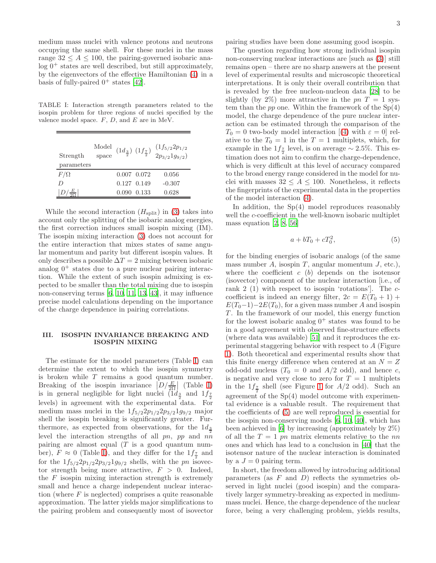medium mass nuclei with valence protons and neutrons occupying the same shell. For these nuclei in the mass range  $32 \leq A \leq 100$ , the pairing-governed isobaric ana- $\log 0^+$  states are well described, but still approximately, by the eigenvectors of the effective Hamiltonian [\(4\)](#page-2-3) in a basis of fully-paired  $0^+$  states [\[42\]](#page-7-41).

<span id="page-3-0"></span>TABLE I: Interaction strength parameters related to the isospin problem for three regions of nuclei specified by the valence model space.  $F$ ,  $D$ , and  $E$  are in MeV.

| Strength   | $\begin{array}{c} \text{Model} \\ \text{space} \end{array} (1d_{\frac{3}{2}}) \ (1f_{\frac{7}{2}})$ |                 | $(1f_{5/2}2p_{1/2}$<br>$2p_{3/2}1g_{9/2})$ |
|------------|-----------------------------------------------------------------------------------------------------|-----------------|--------------------------------------------|
| parameters |                                                                                                     |                 |                                            |
| $F/\Omega$ |                                                                                                     | $0.007$ $0.072$ | 0.056                                      |
| D          |                                                                                                     | 0.127 0.149     | $-0.307$                                   |
|            |                                                                                                     | 0.090 0.133     | 0.628                                      |

While the second interaction  $(H_{split})$  in [\(3\)](#page-2-2) takes into account only the splitting of the isobaric analog energies, the first correction induces small isospin mixing (IM). The isospin mixing interaction [\(3\)](#page-2-2) does not account for the entire interaction that mixes states of same angular momentum and parity but different isospin values. It only describes a possible  $\Delta T = 2$  mixing between isobaric analog  $0^+$  states due to a pure nuclear pairing interaction. While the extent of such isospin admixing is expected to be smaller than the total mixing due to isospin non-conserving terms [\[6,](#page-7-5) [10,](#page-7-9) [11](#page-7-10), [13](#page-7-12), [43](#page-7-42)], it may influence precise model calculations depending on the importance of the charge dependence in pairing correlations.

## III. ISOSPIN INVARIANCE BREAKING AND ISOSPIN MIXING

The estimate for the model parameters (Table [I\)](#page-3-0) can determine the extent to which the isospin symmetry is broken while  $T$  remains a good quantum number. Breaking of the isospin invariance  $\left|D/\frac{E}{2\Omega}\right|$  (Table [I\)](#page-3-0) is in general negligible for light nuclei  $(1d_{\frac{3}{2}}$  and  $1f_{\frac{7}{2}}$ levels) in agreement with the experimental data. For medium mass nuclei in the  $1f_{5/2}2p_{1/2}2p_{3/2}1g_{9/2}$  major shell the isospin breaking is significantly greater. Furthermore, as expected from observations, for the  $1d_{\frac{3}{2}}$ level the interaction strengths of all pn, pp and nn pairing are almost equal  $(T \text{ is a good quantum num-}$ ber),  $F \approx 0$  (Table [I\)](#page-3-0), and they differ for the  $1f_{\frac{7}{2}}$  and for the  $1f_{5/2}2p_{1/2}2p_{3/2}1g_{9/2}$  shells, with the pn isovector strength being more attractive,  $F > 0$ . Indeed, the  $F$  isospin mixing interaction strength is extremely small and hence a charge independent nuclear interaction (where  $F$  is neglected) comprises a quite reasonable approximation. The latter yields major simplifications to the pairing problem and consequently most of isovector

pairing studies have been done assuming good isospin.

The question regarding how strong individual isospin non-conserving nuclear interactions are [such as [\(3\)](#page-2-2)] still remains open – there are no sharp answers at the present level of experimental results and microscopic theoretical interpretations. It is only their overall contribution that is revealed by the free nucleon-nucleon data [\[28](#page-7-27)] to be slightly (by 2%) more attractive in the  $pnT = 1$  system than the  $pp$  one. Within the framework of the  $Sp(4)$ model, the charge dependence of the pure nuclear interaction can be estimated through the comparison of the  $T_0 = 0$  two-body model interaction [[\(4\)](#page-2-3) with  $\varepsilon = 0$ ] relative to the  $T_0 = 1$  in the  $T = 1$  multiplets, which, for example in the  $1f_{\frac{7}{2}}$  level, is on average  $\sim 2.5\%$ . This estimation does not aim to confirm the charge-dependence, which is very difficult at this level of accuracy compared to the broad energy range considered in the model for nuclei with masses  $32 \leq A \leq 100$ . Nonetheless, it reflects the fingerprints of the experimental data in the properties of the model interaction [\(4\)](#page-2-3).

In addition, the  $Sp(4)$  model reproduces reasonably well the *c*-coefficient in the well-known isobaric multiplet mass equation  $[2, 8, 56]$  $[2, 8, 56]$  $[2, 8, 56]$ 

<span id="page-3-1"></span>
$$
a + bT_0 + cT_0^2, \tag{5}
$$

for the binding energies of isobaric analogs (of the same mass number A, isospin T, angular momentum  $J$ , etc.), where the coefficient  $c \; (b)$  depends on the isotensor (isovector) component of the nuclear interaction [i.e., of rank 2 (1) with respect to isospin 'rotations']. The ccoefficient is indeed an energy filter,  $2c = E(T_0 + 1) +$  $E(T_0-1)-2E(T_0)$ , for a given mass number A and isospin T. In the framework of our model, this energy function for the lowest isobaric analog  $0^+$  states was found to be in a good agreement with observed fine-structure effects (where data was available) [\[51\]](#page-7-50) and it reproduces the experimental staggering behavior with respect to A (Figure [1\)](#page-4-0). Both theoretical and experimental results show that this finite energy difference when centered at an  $N = Z$ odd-odd nucleus  $(T_0 = 0 \text{ and } A/2 \text{ odd})$ , and hence c, is negative and very close to zero for  $T = 1$  multiplets in the  $1f_{\frac{7}{2}}$  shell (see Figure [1](#page-4-0) for  $A/2$  odd). Such an agreement of the Sp(4) model outcome with experimental evidence is a valuable result. The requirement that the coefficients of [\(5\)](#page-3-1) are well reproduced is essential for the isospin non-conserving models [\[6](#page-7-5), [10,](#page-7-9) [40\]](#page-7-39), which has been achieved in [\[6](#page-7-5)] by increasing (approximately by 2%) of all the  $T = 1$  pn matrix elements relative to the nn ones and which has lead to a conclusion in [\[40](#page-7-39)] that the isotensor nature of the nuclear interaction is dominated by a  $J = 0$  pairing term.

In short, the freedom allowed by introducing additional parameters (as  $F$  and  $D$ ) reflects the symmetries observed in light nuclei (good isospin) and the comparatively larger symmetry-breaking as expected in mediummass nuclei. Hence, the charge dependence of the nuclear force, being a very challenging problem, yields results,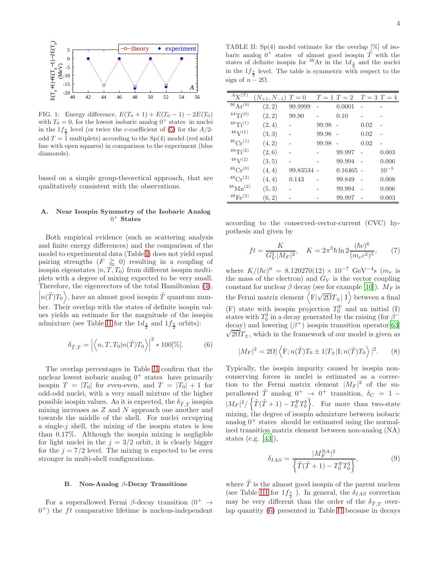

<span id="page-4-0"></span>FIG. 1: Energy difference,  $E(T_0 + 1) + E(T_0 - 1) - 2E(T_0)$ with  $T_0 = 0$ , for the lowest isobaric analog  $0^+$  states in nuclei in the  $1f_{\frac{7}{2}}$  level (or twice the *c*-coefficient of [\(5\)](#page-3-1) for the *A*/2odd  $T = 1$  multiplets) according to the Sp(4) model (red solid line with open squares) in comparison to the experiment (blue diamonds).

based on a simple group-theoretical approach, that are qualitatively consistent with the observations.

## A. Near Isospin Symmetry of the Isobaric Analog  $0^+$  States

Both empirical evidence (such as scattering analysis and finite energy differences) and the comparison of the model to experimental data (Table [I\)](#page-3-0) does not yield equal pairing strengths  $(F \ge 0)$  resulting in a coupling of isospin eigenstates  $|n, T, T_0\rangle$  from different isospin multiplets with a degree of mixing expected to be very small. Therefore, the eigenvectors of the total Hamiltonian [\(4\)](#page-2-3),  $\left| n(\tilde{T})T_0\right\rangle$ , have an almost good isospin  $\tilde{T}$  quantum num- $\begin{bmatrix} 1 & 0 & 0 \\ 0 & 0 & 0 \end{bmatrix}$  ber. Their overlap with the states of definite isospin values yields an estimate for the magnitude of the isospin admixture (see Table [II](#page-4-1) for the  $1d_{\frac{3}{2}}$  and  $1f_{\frac{7}{2}}$  orbits):

<span id="page-4-2"></span>
$$
\delta_{\tilde{T},T} = \left| \left\langle n, T, T_0 | n(\tilde{T}) T_0 \right\rangle \right|^2 * 100[\%]. \tag{6}
$$

The overlap percentages in Table [II](#page-4-1) confirm that the nuclear lowest isobaric analog  $0^+$  states have primarily isospin  $T = |T_0|$  for even-even, and  $T = |T_0| + 1$  for odd-odd nuclei, with a very small mixture of the higher possible isospin values. As it is expected, the  $\delta_{\tilde{T},T}$  isospin mixing increases as  $Z$  and  $N$  approach one another and towards the middle of the shell. For nuclei occupying a single- $j$  shell, the mixing of the isospin states is less than 0.17%. Although the isospin mixing is negligible for light nuclei in the  $j = 3/2$  orbit, it is clearly bigger for the  $j = 7/2$  level. The mixing is expected to be even stronger in multi-shell configurations.

#### B. Non-Analog  $\beta$ -Decay Transitions

For a superallowed Fermi β-decay transition  $(0^+ \rightarrow$  $(0<sup>+</sup>)$  the *ft* comparative lifetime is nucleus-independent

<span id="page-4-1"></span>TABLE II:  $Sp(4)$  model estimate for the overlap  $[\%]$  of isobaric analog  $0^+$  states of almost good isospin  $\tilde{T}$  with the states of definite isospin for <sup>36</sup>Ar in the  $1d_{\frac{3}{2}}$  and the nuclei in the  $1f_{\frac{7}{2}}$  level. The table is symmetric with respect to the sign of  $n - 2\Omega$ .

| $A_{\rm X}(T)$            | $(N_{+1}, N_{-1})$ | $T=0$    |       | $T=1$ $T=2$ | $T=3$ $T=4$ |           |
|---------------------------|--------------------|----------|-------|-------------|-------------|-----------|
| $36 \text{ Ar}^{(0)}$     | (2, 2)             | 99.9999  |       | 0.0001      |             |           |
| $^{44}Ti^{(0)}$           | (2, 2)             | 99.90    |       | 0.10        |             |           |
| $46\text{Ti}^{(1)}$       | (2,4)              |          | 99.98 |             | 0.02        |           |
| 46V(1)                    | (3,3)              |          | 99.98 |             | 0.02        |           |
| ${}^{46}Cr^{(1)}$         | (4, 2)             |          | 99.98 |             | 0.02        |           |
| $48\text{Ti}(2)$          | (2,6)              |          |       | 99.997      |             | 0.003     |
| $48V^{(2)}$               | (3, 5)             |          |       | 99.994      |             | 0.006     |
| $^{48}Cr^{(0)}$           | (4,4)              | 99.83534 |       | $0.16465 -$ |             | $10^{-5}$ |
| $^{48}Cr^{(2)}$           | (4,4)              | 0.143    |       | 99.849      |             | 0.008     |
| $^{48}$ Mn <sup>(2)</sup> | (5, 3)             |          |       | 99.994      |             | 0.006     |
| $^{48}Fe^{(2)}$           | (6, 2)             |          |       | 99.997      |             | 0.003     |

according to the conserved-vector-current (CVC) hypothesis and given by

$$
ft = \frac{K}{G_V^2 |M_F|^2}, \quad K = 2\pi^3 \hbar \ln 2 \frac{(\hbar c)^6}{(m_e c^2)^5}, \tag{7}
$$

where  $K/(\hbar c)^6 = 8.120270(12) \times 10^{-7} \text{ GeV}^{-4} \text{s}$  ( $m_e$  is the mass of the electron) and  $G_V$  is the vector coupling constant for nuclear  $\beta$  decay (see for example [\[10](#page-7-9)]).  $M_F$  is the Fermi matrix element  $\left\langle \overline{\mathrm{F}}|\sqrt{2\Omega}T_{\pm}| \right.$  I) between a final (F) state with isospin projection  $T_0^{\text{F}}$  and an initial (I) states with  $T_0^{\text{I}}$  in a decay generated by the raising (for  $\beta^$ decay) and lowering  $(\beta^+)$  isospin transition operator [\[63\]](#page-8-5)  $\sqrt{2\Omega}T_{\pm}$ , which in the framework of our model is given as

$$
|M_F|^2 = 2\Omega |\langle F; n(\tilde{T})T_0 \pm 1|T_{\pm}|I; n(\tilde{T})T_0 \rangle|^2.
$$
 (8)

Typically, the isospin impurity caused by isospin nonconserving forces in nuclei is estimated as a correction to the Fermi matrix element  $|M_F|^2$  of the superallowed  $\tilde{T}$  analog  $0^+ \rightarrow 0^+$  transition,  $\delta_C = 1 |M_F|^2 / \left\{ \tilde{T}(\tilde{T} + 1) - T_0^F T_0^I \right\}$ . For more than two-state mixing, the degree of isospin admixture between isobaric analog  $0^+$  states should be estimated using the normalized transition matrix element between non-analog (NA) states (e.g. [\[43](#page-7-42)]),

<span id="page-4-3"></span>
$$
\delta_{IAS} = \frac{|M_F^{\text{NA}}|^2}{\left\{ \tilde{T}(\tilde{T} + 1) - T_0^{\text{F}} T_0^{\text{I}} \right\}},\tag{9}
$$

where  $\tilde{T}$  is the almost good isospin of the parent nucleus (see Table [III](#page-5-0) for  $1f_{\frac{7}{2}}$ ). In general, the  $\delta_{IAS}$  correction may be very different than the order of the  $\delta_{\tilde{T},T}$  overlap quantity [\(6\)](#page-4-2) presented in Table [II](#page-4-1) because in decays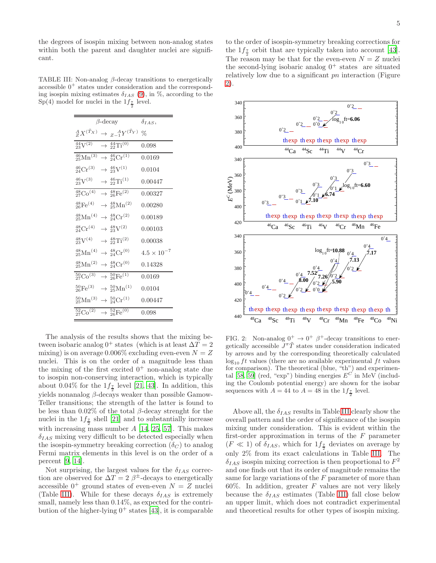the degrees of isospin mixing between non-analog states within both the parent and daughter nuclei are significant.

TABLE III: Non-analog  $\beta$ -decay transitions to energetically accessible  $0^+$  states under consideration and the corresponding isospin mixing estimates  $\delta_{IAS}$  [\(9\)](#page-4-3), in %, according to the Sp(4) model for nuclei in the  $1f_{\frac{7}{2}}$  level.

<span id="page-5-0"></span>

| $\beta$ -decay<br>$\delta_{IAS}$<br>${}^A_ZX^{(\tilde{T}_X)}$<br>$\rightarrow Z_{-1}^{\ A}Y^{(\tilde{T}_Y)}$<br>℅<br>$\frac{44}{23}V^{(2)}$<br>$\rightarrow$ $^{44}_{22}$ Ti <sup>(0)</sup><br>0.098<br>$\rightarrow \frac{46}{24} \text{Cr}^{\overline{(1)}}$<br>$\frac{46}{25}$ Mn <sup>(3)</sup><br>0.0169<br>${}^{46}_{24}\text{Cr}^{(3)}$<br>$\rightarrow \frac{46}{23}V^{(1)}$<br>0.0104 |  |
|------------------------------------------------------------------------------------------------------------------------------------------------------------------------------------------------------------------------------------------------------------------------------------------------------------------------------------------------------------------------------------------------|--|
|                                                                                                                                                                                                                                                                                                                                                                                                |  |
|                                                                                                                                                                                                                                                                                                                                                                                                |  |
|                                                                                                                                                                                                                                                                                                                                                                                                |  |
|                                                                                                                                                                                                                                                                                                                                                                                                |  |
|                                                                                                                                                                                                                                                                                                                                                                                                |  |
| $^{46}_{23}\mathrm{V}^{(3)}$<br>$\rightarrow \frac{46}{22} Ti^{(1)}$<br>0.00447                                                                                                                                                                                                                                                                                                                |  |
| $\frac{48}{27}Co^{(4)}$<br>$\rightarrow$ $^{48}_{26}\text{Fe}^{(2)}$<br>0.00327                                                                                                                                                                                                                                                                                                                |  |
| $^{48}_{26}Fe^{(4)}$<br>$\rightarrow$ $^{48}_{25}$ Mn <sup>(2)</sup><br>0.00280                                                                                                                                                                                                                                                                                                                |  |
| $^{48}_{25}$ Mn <sup>(4)</sup><br>$\rightarrow \frac{48}{24}Cr^{(2)}$<br>0.00189                                                                                                                                                                                                                                                                                                               |  |
| $\rightarrow \frac{48}{23}V^{(2)}$<br>${}^{48}_{24}\text{Cr}^{(4)}$<br>0.00103                                                                                                                                                                                                                                                                                                                 |  |
| $^{48}_{23}\text{V}^{(4)}$<br>$\rightarrow$ $^{48}_{22}Ti^{(2)}$<br>0.00038                                                                                                                                                                                                                                                                                                                    |  |
| $^{48}_{25}$ Mn <sup>(4)</sup><br>$\rightarrow$ 48 <sub>24</sub> Cr <sup>(0)</sup><br>$4.5 \times 10^{-7}$                                                                                                                                                                                                                                                                                     |  |
| $^{48}_{25}$ Mn <sup>(2)</sup><br>$\rightarrow \frac{48}{24}Cr^{(0)}$<br>0.14328                                                                                                                                                                                                                                                                                                               |  |
| ${}^{50}_{27}Co^{{\overline{3}})}$<br>$\rightarrow \frac{50}{26} \text{Fe}^{(1)}$<br>0.0169                                                                                                                                                                                                                                                                                                    |  |
| $^{50}_{26}$ Fe <sup>(3)</sup><br>$\rightarrow \frac{50}{25} \text{Mn}^{(1)}$<br>0.0104                                                                                                                                                                                                                                                                                                        |  |
| $^{50}_{25}$ Mn <sup>(3)</sup><br>$\rightarrow \frac{50}{24}Cr^{(1)}$<br>0.00447                                                                                                                                                                                                                                                                                                               |  |
| $\frac{52}{27}Co^{(2)}$<br>$\rightarrow \frac{52}{26} \text{Fe}^{(0)}$<br>0.098                                                                                                                                                                                                                                                                                                                |  |

The analysis of the results shows that the mixing between isobaric analog  $0^+$  states (which is at least  $\Delta T = 2$ mixing) is on average  $0.006\%$  excluding even-even  $N = Z$ nuclei. This is on the order of a magnitude less than the mixing of the first excited  $0^+$  non-analog state due to isospin non-conserving interaction, which is typically about 0.04% for the  $1f_{\frac{7}{2}}$  level [\[21,](#page-7-20) [43](#page-7-42)]. In addition, this yields nonanalog  $\beta$ -decays weaker than possible Gamow-Teller transitions; the strength of the latter is found to be less than  $0.02\%$  of the total  $\beta$ -decay strenght for the nuclei in the  $1f_{\frac{7}{2}}$  shell [\[21\]](#page-7-20) and to substantially increase with increasing mass number  $A$  [\[14,](#page-7-13) [25,](#page-7-24) [57\]](#page-8-6). This makes  $\delta_{IAS}$  mixing very difficult to be detected especially when the isospin-symmetry breaking correction  $(\delta_C)$  to analog Fermi matrix elements in this level is on the order of a percent [\[9](#page-7-8), [14](#page-7-13)].

Not surprising, the largest values for the  $\delta_{IAS}$  correction are observed for  $\Delta T = 2 \beta^{\pm}$ -decays to energetically accessible  $0^+$  ground states of even-even  $N = Z$  nuclei (Table [III\)](#page-5-0). While for these decays  $\delta_{IAS}$  is extremely small, namely less than  $0.14\%$ , as expected for the contribution of the higher-lying  $0^+$  states [\[43\]](#page-7-42), it is comparable

to the order of isospin-symmetry breaking corrections for the  $1f_{\frac{7}{2}}$  orbit that are typically taken into account [\[43\]](#page-7-42). The reason may be that for the even-even  $N = Z$  nuclei the second-lying isobaric analog  $0^+$  states are situated relatively low due to a significant pn interaction (Figure [2\)](#page-5-1).



<span id="page-5-1"></span>FIG. 2: Non-analog  $0^+ \rightarrow 0^+$   $\beta^+$ -decay transitions to energetically accessible  $J^{\pi} \tilde{T}$  states under consideration indicated by arrows and by the corresponding theoretically calculated  $\log_{10} ft$  values (there are no available experimental ft values for comparison). The theoretical (blue, "th") and experimen-tal [\[58](#page-8-7), [59\]](#page-8-8) (red, "exp") binding energies  $E^C$  in MeV (including the Coulomb potential energy) are shown for the isobar sequences with  $A = 44$  to  $A = 48$  in the  $1f_{\frac{7}{2}}$  level.

Above all, the  $\delta_{IAS}$  results in Table [III](#page-5-0) clearly show the overall pattern and the order of significance of the isospin mixing under consideration. This is evident within the first-order approximation in terms of the  $F$  parameter  $(F \ll 1)$  of  $\delta_{IAS}$ , which for  $1f_{\frac{7}{2}}$  deviates on average by only 2% from its exact calculations in Table [III.](#page-5-0) The  $\delta_{IAS}$  isospin mixing correction is then proportional to  $F^2$ and one finds out that its order of magnitude remains the same for large variations of the F parameter of more than  $60\%$ . In addition, greater F values are not very likely because the  $\delta_{IAS}$  estimates (Table [III\)](#page-5-0) fall close below an upper limit, which does not contradict experimental and theoretical results for other types of isospin mixing.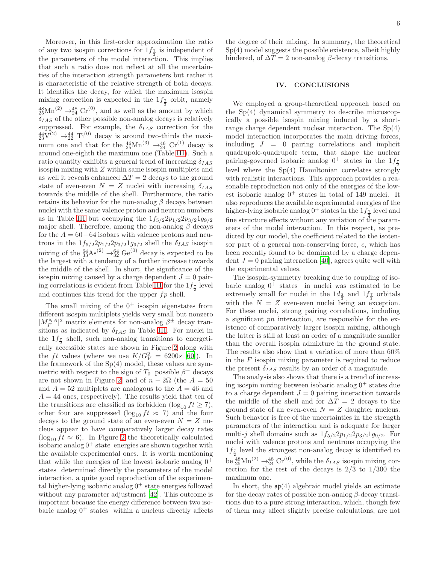Moreover, in this first-order approximation the ratio of any two isospin corrections for  $1f_{\frac{7}{2}}$  is independent of the parameters of the model interaction. This implies that such a ratio does not reflect at all the uncertainties of the interaction strength parameters but rather it is characteristic of the relative strength of both decays. It identifies the decay, for which the maximum isospin mixing correction is expected in the  $1f_{\frac{7}{2}}$  orbit, namely  $^{48}_{25}$ Mn<sup>(2)</sup>  $\rightarrow^{48}_{24}$  Cr<sup>(0)</sup>, and as well as the amount by which  $\delta_{IAS}$  of the other possible non-analog decays is relatively suppressed. For example, the  $\delta_{IAS}$  correction for the  $^{44}_{23}\text{V}^{(2)} \rightarrow ^{44}_{22} \text{Ti}^{(0)}$  decay is around two-thirds the maximum one and that for the  $^{46}_{25}$ Mn<sup>(3)</sup>  $\rightarrow ^{46}_{24}$  Cr<sup>(1)</sup> decay is around one-eighth the maximum one (Table [III\)](#page-5-0). Such a ratio quantity exhibits a general trend of increasing  $\delta_{IAS}$ isospin mixing with Z within same isospin multiplets and as well it reveals enhanced  $\Delta T = 2$  decays to the ground state of even-even  $N = Z$  nuclei with increasing  $\delta_{IAS}$ towards the middle of the shell. Furthermore, the ratio retains its behavior for the non-analog  $\beta$  decays between nuclei with the same valence proton and neutron numbers as in Table [III](#page-5-0) but occupying the  $1f_{5/2}2p_{1/2}2p_{3/2}1g_{9/2}$ major shell. Therefore, among the non-analog  $\beta$  decays for the  $A = 60-64$  isobars with valence protons and neutrons in the  $1f_{5/2}2p_{1/2}2p_{3/2}1g_{9/2}$  shell the  $\delta_{IAS}$  isospin mixing of the  $^{64}_{33}\text{As}^{(2)} \rightarrow ^{64}_{32}\text{Ge}^{(0)}$  decay is expected to be the largest with a tendency of a further increase towards the middle of the shell. In short, the significance of the isospin mixing caused by a charge dependent  $J = 0$  pair-ing correlations is evident from Table [III](#page-5-0) for the  $1f_{\frac{7}{2}}$  level and continues this trend for the upper  $fp$  shell.

The small mixing of the  $0^+$  isospin eigenstates from different isospin multiplets yields very small but nonzero  $|M_F^{NA}|^2$  matrix elements for non-analog  $\beta^{\pm}$  decay transitions as indicated by  $\delta_{IAS}$  in Table [III.](#page-5-0) For nuclei in the  $1f_{\frac{7}{2}}$  shell, such non-analog transitions to energetically accessible states are shown in Figure [2](#page-5-1) along with the ft values (where we use  $K/G_V^2 = 6200s$  [\[60\]](#page-8-9)). In the framework of the Sp(4) model, these values are symmetric with respect to the sign of  $T_0$  [possible  $\beta^-$  decays are not shown in Figure 2 and of  $n-2\Omega$  (the  $A=50$ and  $A = 52$  multiplets are analogous to the  $A = 46$  and  $A = 44$  ones, respectively). The results yield that ten of the transitions are classified as forbidden (log<sub>10</sub>  $ft \geq 7$ ), other four are suppressed  $(\log_{10} ft \approx 7)$  and the four decays to the ground state of an even-even  $N = Z$  nucleus appear to have comparatively larger decay rates  $(\log_{10} ft \approx 6)$ . In Figure [2](#page-5-1) the theoretically calculated isobaric analog  $0^+$  state energies are shown together with the available experimental ones. It is worth mentioning that while the energies of the lowest isobaric analog  $0^+$ states determined directly the parameters of the model interaction, a quite good reproduction of the experimental higher-lying isobaric analog  $0^+$  state energies followed without any parameter adjustment [\[42\]](#page-7-41). This outcome is important because the energy difference between two isobaric analog  $0^+$  states within a nucleus directly affects

the degree of their mixing. In summary, the theoretical Sp(4) model suggests the possible existence, albeit highly hindered, of  $\Delta T = 2$  non-analog  $\beta$ -decay transitions.

### IV. CONCLUSIONS

We employed a group-theoretical approach based on the Sp(4) dynamical symmetry to describe microscopically a possible isospin mixing induced by a shortrange charge dependent nuclear interaction. The Sp(4) model interaction incorporates the main driving forces, including  $J = 0$  pairing correlations and implicit quadrupole-quadrupole term, that shape the nuclear pairing-governed isobaric analog  $0^+$  states in the  $1f_{\frac{7}{2}}$ level where the Sp(4) Hamiltonian correlates strongly with realistic interactions. This approach provides a reasonable reproduction not only of the energies of the lowest isobaric analog  $0^+$  states in total of 149 nuclei. It also reproduces the available experimental energies of the higher-lying isobaric analog  $0^+$  states in the  $1f_{\frac{7}{2}}$  level and fine structure effects without any variation of the parameters of the model interaction. In this respect, as predicted by our model, the coefficient related to the isotensor part of a general non-conserving force, c, which has been recently found to be dominated by a charge dependent  $J = 0$  pairing interaction [\[40](#page-7-39)], agrees quite well with the experimental values.

The isospin-symmetry breaking due to coupling of isobaric analog  $0^+$  states in nuclei was estimated to be extremely small for nuclei in the  $1d_{\frac{3}{2}}$  and  $1f_{\frac{7}{2}}$  orbitals with the  $N = Z$  even-even nuclei being an exception. For these nuclei, strong pairing correlations, including a significant pn interaction, are responsible for the existence of comparatively larger isospin mixing, although the latter is still at least an order of a magnitude smaller than the overall isospin admixture in the ground state. The results also show that a variation of more than 60% in the  $F$  isospin mixing parameter is required to reduce the present  $\delta_{IAS}$  results by an order of a magnitude.

The analysis also shows that there is a trend of increasing isospin mixing between isobaric analog  $0^+$  states due to a charge dependent  $J = 0$  pairing interaction towards the middle of the shell and for  $\Delta T = 2$  decays to the ground state of an even-even  $N = Z$  daughter nucleus. Such behavior is free of the uncertainties in the strength parameters of the interaction and is adequate for larger multi-j shell domains such as  $1f_{5/2}2p_{1/2}2p_{3/2}1g_{9/2}$ . For nuclei with valence protons and neutrons occupying the  $1f_{\frac{7}{2}}$  level the strongest non-analog decay is identified to be  $^{48}_{25} \text{Mn}^{(2)} \rightarrow ^{48}_{24} \text{Cr}^{(0)}$ , while the  $\delta_{IAS}$  isospin mixing correction for the rest of the decays is  $2/3$  to  $1/300$  the maximum one.

In short, the  $\mathfrak{sp}(4)$  algebraic model yields an estimate for the decay rates of possible non-analog  $\beta$ -decay transitions due to a pure strong interaction, which, though few of them may affect slightly precise calculations, are not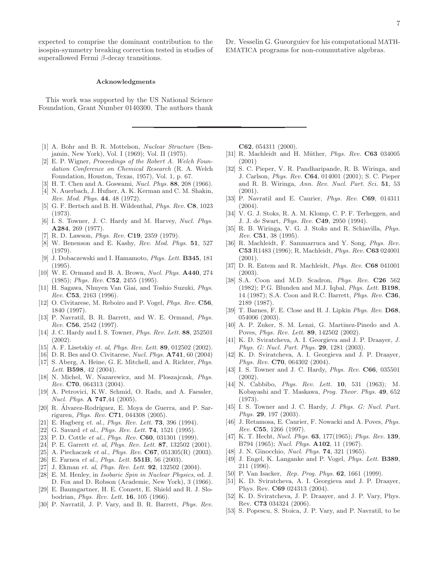expected to comprise the dominant contribution to the isospin-symmetry breaking correction tested in studies of superallowed Fermi β-decay transitions.

#### Acknowledgments

This work was supported by the US National Science Foundation, Grant Number 0140300. The authors thank

- <span id="page-7-0"></span>[1] A. Bohr and B. R. Mottelson, *Nuclear Structure* (Benjamin, New York), Vol. I (1969); Vol. II (1975).
- <span id="page-7-1"></span>[2] E. P. Wigner, *Proceedings of the Robert A. Welch Foundation Conference on Chemical Research* (R. A. Welch Foundation, Houston, Texas, 1957), Vol. 1, p. 67.
- <span id="page-7-2"></span>[3] H. T. Chen and A. Goswami, *Nucl. Phys.* 88, 208 (1966).
- <span id="page-7-3"></span>[4] N. Auerbach, J. Hufner, A. K. Kerman and C. M. Shakin, *Rev. Mod. Phys.* 44, 48 (1972).
- <span id="page-7-4"></span>[5] G. F. Bertsch and B. H. Wildenthal, *Phys. Rev.* C8, 1023 (1973).
- <span id="page-7-5"></span>[6] I. S. Towner, J. C. Hardy and M. Harvey, *Nucl. Phys.* A284, 269 (1977).
- <span id="page-7-6"></span>[7] R. D. Lawson, *Phys. Rev.* C19, 2359 (1979).
- <span id="page-7-7"></span>[8] W. Benenson and E. Kashy, *Rev. Mod. Phys.* 51, 527 (1979).
- <span id="page-7-8"></span>[9] J. Dobaczewski and I. Hamamoto, *Phys. Lett.* B345, 181 (1995).
- <span id="page-7-9"></span>[10] W. E. Ormand and B. A. Brown, *Nucl. Phys.* A440, 274 (1985); *Phys. Rev.* C52, 2455 (1995).
- <span id="page-7-10"></span>[11] H. Sagawa, Nhuyen Van Giai, and Toshio Suzuki, *Phys. Rev.* C53, 2163 (1996).
- <span id="page-7-11"></span>[12] O. Civitarese, M. Reboiro and P. Vogel, *Phys. Rev.* C56, 1840 (1997).
- <span id="page-7-12"></span>[13] P. Navratil, B. R. Barrett, and W. E. Ormand, *Phys. Rev.* C56, 2542 (1997).
- <span id="page-7-13"></span>[14] J. C. Hardy and I. S. Towner, *Phys. Rev. Lett.* 88, 252501 (2002).
- <span id="page-7-14"></span>[15] A. F. Lisetskiy *et. al*, *Phys. Rev. Lett.* 89, 012502 (2002).
- <span id="page-7-15"></span>[16] D. R. Bes and O. Civitarese, *Nucl. Phys.* A741, 60 (2004)
- <span id="page-7-16"></span>[17] S. Aberg, A. Heine, G. E. Mitchell, and A. Richter, *Phys. Lett.* B598, 42 (2004).
- <span id="page-7-17"></span>[18] N. Michel, W. Nazarewicz, and M. Ploszajczak, *Phys. Rev.* C70, 064313 (2004).
- <span id="page-7-18"></span>[19] A. Petrovici, K.W. Schmid, O. Radu, and A. Faessler, *Nucl. Phys.* A 747,44 (2005).
- <span id="page-7-19"></span>[20] R. Álvarez-Rodríguez, E. Moya de Guerra, and P. Sarriguren, *Phys. Rev.* C71, 044308 (2005).
- <span id="page-7-20"></span>[21] E. Hagberg *et. al.*, *Phys. Rev. Lett.* 73, 396 (1994).
- <span id="page-7-21"></span>[22] G. Savard *et al.*, *Phys. Rev. Lett.* 74, 1521 (1995).
- <span id="page-7-22"></span>[23] P. D. Cottle *et al.*, *Phys. Rev.* C60, 031301 (1999).
- <span id="page-7-23"></span>[24] P. E. Garrett *et. al*, *Phys. Rev. Lett.* 87, 132502 (2001).
- <span id="page-7-24"></span>[25] A. Piechaczek *et al.*, *Phys. Rev.* C67, 051305(R) (2003).
- <span id="page-7-25"></span>[26] E. Farnea *et al.*, *Phys. Lett.* 551B, 56 (2003).
- <span id="page-7-26"></span>[27] J. Ekman *et. al*, *Phys. Rev. Lett.* 92, 132502 (2004).
- <span id="page-7-27"></span>[28] E. M. Henley, in *Isobaric Spin in Nuclear Physics*, ed. J. D. Fox and D. Robson (Academic, New York), 3 (1966).
- <span id="page-7-28"></span>[29] E. Baumgartner, H. E. Conzett, E. Shield and R. J. Slobodrian, *Phys. Rev. Lett.* 16, 105 (1966).
- <span id="page-7-29"></span>[30] P. Navratil, J. P. Vary, and B. R. Barrett, *Phys. Rev.*

C62, 054311 (2000).

- <span id="page-7-30"></span>[31] R. Machleidt and H. Müther, *Phys. Rev.* **C63** 034005 (2001)
- <span id="page-7-31"></span>[32] S. C. Pieper, V. R. Pandharipande, R. B. Wiringa, and J. Carlson, *Phys. Rev.* C64, 014001 (2001); S. C. Pieper and R. B. Wiringa, *Ann. Rev. Nucl. Part. Sci.* 51, 53 (2001).
- <span id="page-7-32"></span>[33] P. Navratil and E. Caurier, *Phys. Rev.* C69, 014311  $(2004).$
- <span id="page-7-33"></span>[34] V. G. J. Stoks, R. A. M. Klomp, C. P. F. Terheggen, and J. J. de Swart, *Phys. Rev.* C49, 2950 (1994).
- <span id="page-7-34"></span>[35] R. B. Wiringa, V. G. J. Stoks and R. Schiavilla, *Phys. Rev.* C51, 38 (1995).
- <span id="page-7-35"></span>[36] R. Machleidt, F. Sammarruca and Y. Song, *Phys. Rev.* C53 R1483 (1996); R. Machleidt, *Phys. Rev.* C63 024001  $(2001).$
- <span id="page-7-36"></span>[37] D. R. Entem and R. Machleidt, *Phys. Rev.* C68 041001 (2003).
- <span id="page-7-37"></span>[38] S.A. Coon and M.D. Scadron, *Phys. Rev.* C26 562 (1982); P.G. Blunden and M.J. Iqbal, *Phys. Lett.* B198, 14 (1987); S.A. Coon and R.C. Barrett, *Phys. Rev.* C36, 2189 (1987).
- <span id="page-7-38"></span>[39] T. Barnes, F. E. Close and H. J. Lipkin *Phys. Rev.* D68, 054006 (2003).
- <span id="page-7-39"></span>[40] A. P. Zuker, S. M. Lenzi, G. Martinez-Pinedo and A. Poves, *Phys. Rev. Lett.* 89, 142502 (2002).
- <span id="page-7-40"></span>[41] K. D. Sviratcheva, A. I. Georgieva and J. P. Draayer, *J. Phys. G: Nucl. Part. Phys.* 29, 1281 (2003).
- <span id="page-7-41"></span>[42] K. D. Sviratcheva, A. I. Georgieva and J. P. Draayer, *Phys. Rev.* C70, 064302 (2004).
- <span id="page-7-42"></span>[43] I. S. Towner and J. C. Hardy, *Phys. Rev.* **C66**, 035501 (2002).
- <span id="page-7-43"></span>[44] N. Cabbibo, *Phys. Rev. Lett.* 10, 531 (1963); M. Kobayashi and T. Maskawa, *Prog. Theor. Phys.* 49, 652 (1973).
- <span id="page-7-44"></span>[45] I. S. Towner and J. C. Hardy, *J. Phys. G: Nucl. Part. Phys.* 29, 197 (2003).
- <span id="page-7-45"></span>[46] J. Retamosa, E. Caurier, F. Nowacki and A. Poves, *Phys. Rev.* C55, 1266 (1997).
- <span id="page-7-46"></span>[47] K. T. Hecht, *Nucl. Phys.* 63, 177(1965); *Phys. Rev.* 139, B794 (1965); *Nucl. Phys.* A102, 11 (1967).
- <span id="page-7-47"></span>[48] J. N. Ginocchio, *Nucl. Phys.* 74, 321 (1965).
- <span id="page-7-48"></span>[49] J. Engel, K. Langanke and P. Vogel, *Phys. Lett.* B389, 211 (1996).
- <span id="page-7-49"></span>[50] P. Van Isacker, *Rep. Prog. Phys.* 62, 1661 (1999).
- <span id="page-7-50"></span>[51] K. D. Sviratcheva, A. I. Georgieva and J. P. Draayer, Phys. Rev. C69 024313 (2004).
- <span id="page-7-51"></span>[52] K. D. Sviratcheva, J. P. Draayer, and J. P. Vary, Phys. Rev. C73 034324 (2006).
- <span id="page-7-52"></span>[53] S. Popescu, S. Stoica, J. P. Vary, and P. Navratil, to be

Dr. Vesselin G. Gueorguiev for his computational MATH-EMATICA programs for non-commutative algebras.